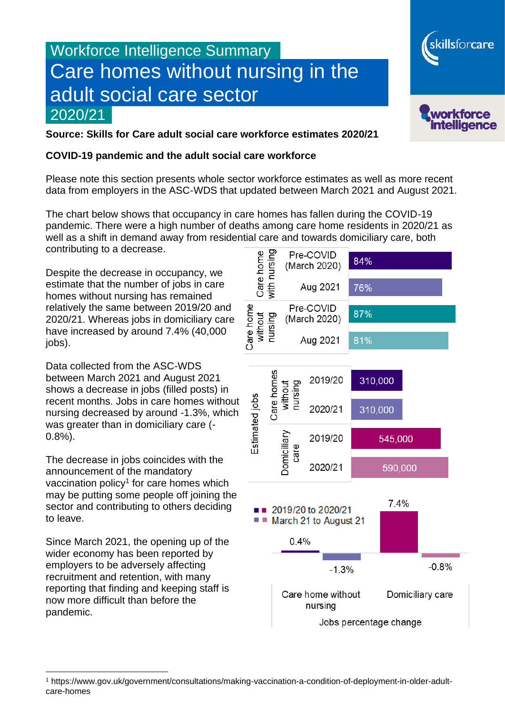# Workforce Intelligence Summary Care homes without nursing in the adult social care sector 2020/21



skillsforcare

**Source: Skills for Care adult social care workforce estimates 2020/21**

#### **COVID-19 pandemic and the adult social care workforce**

Please note this section presents whole sector workforce estimates as well as more recent data from employers in the ASC-WDS that updated between March 2021 and August 2021.

The chart below shows that occupancy in care homes has fallen during the COVID-19 pandemic. There were a high number of deaths among care home residents in 2020/21 as well as a shift in demand away from residential care and towards domiciliary care, both contributing to a decrease.

Despite the decrease in occupancy, we estimate that the number of jobs in care homes without nursing has remained relatively the same between 2019/20 and 2020/21. Whereas jobs in domiciliary care have increased by around 7.4% (40,000 iobs).

Data collected from the ASC-WDS between March 2021 and August 2021 shows a decrease in jobs (filled posts) in recent months. Jobs in care homes without nursing decreased by around -1.3%, which was greater than in domiciliary care (- 0.8%).

The decrease in jobs coincides with the announcement of the mandatory vaccination policy<sup>1</sup> for care homes which may be putting some people off joining the sector and contributing to others deciding to leave.

Since March 2021, the opening up of the wider economy has been reported by employers to be adversely affecting recruitment and retention, with many reporting that finding and keeping staff is now more difficult than before the pandemic.



<sup>1</sup> https://www.gov.uk/government/consultations/making-vaccination-a-condition-of-deployment-in-older-adultcare-homes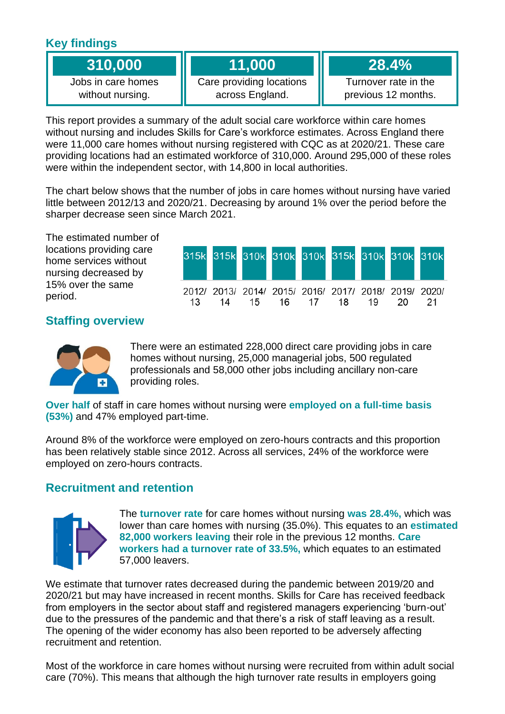## **Key findings**

| 310,000 |  |  |
|---------|--|--|
|         |  |  |
|         |  |  |

Jobs in care homes without nursing.

## **11,000**

Care providing locations across England.

**28.4%**

Turnover rate in the previous 12 months.

This report provides a summary of the adult social care workforce within care homes without nursing and includes Skills for Care's workforce estimates. Across England there were 11,000 care homes without nursing registered with CQC as at 2020/21. These care providing locations had an estimated workforce of 310,000. Around 295,000 of these roles were within the independent sector, with 14,800 in local authorities.

The chart below shows that the number of jobs in care homes without nursing have varied little between 2012/13 and 2020/21. Decreasing by around 1% over the period before the sharper decrease seen since March 2021.

The estimated number of locations providing care home services without nursing decreased by 15% over the same period.

|     |  |  | 315k 315k 310k 310k 310k 315k 310k 310k 310k                                  |  |     |
|-----|--|--|-------------------------------------------------------------------------------|--|-----|
| 13. |  |  | 2012/ 2013/ 2014/ 2015/ 2016/ 2017/ 2018/ 2019/ 2020/<br>14 15 16 17 18 19 20 |  | -21 |

### **Staffing overview**



There were an estimated 228,000 direct care providing jobs in care homes without nursing, 25,000 managerial jobs, 500 regulated professionals and 58,000 other jobs including ancillary non-care providing roles.

**Over half** of staff in care homes without nursing were **employed on a full-time basis (53%)** and 47% employed part-time.

Around 8% of the workforce were employed on zero-hours contracts and this proportion has been relatively stable since 2012. Across all services, 24% of the workforce were employed on zero-hours contracts.

### **Recruitment and retention**



The **turnover rate** for care homes without nursing **was 28.4%,** which was lower than care homes with nursing (35.0%). This equates to an **estimated 82,000 workers leaving** their role in the previous 12 months. **Care workers had a turnover rate of 33.5%,** which equates to an estimated 57,000 leavers.

We estimate that turnover rates decreased during the pandemic between 2019/20 and 2020/21 but may have increased in recent months. Skills for Care has received feedback from employers in the sector about staff and registered managers experiencing 'burn-out' due to the pressures of the pandemic and that there's a risk of staff leaving as a result. The opening of the wider economy has also been reported to be adversely affecting recruitment and retention.

Most of the workforce in care homes without nursing were recruited from within adult social care (70%). This means that although the high turnover rate results in employers going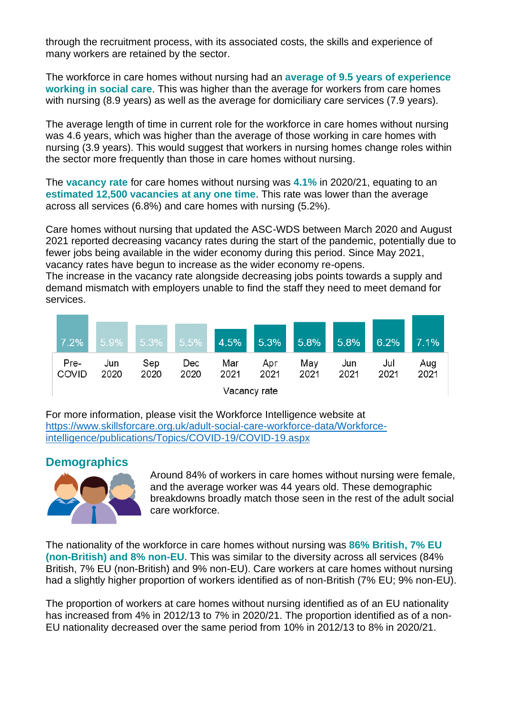through the recruitment process, with its associated costs, the skills and experience of many workers are retained by the sector.

The workforce in care homes without nursing had an **average of 9.5 years of experience working in social care**. This was higher than the average for workers from care homes with nursing (8.9 years) as well as the average for domiciliary care services (7.9 years).

The average length of time in current role for the workforce in care homes without nursing was 4.6 years, which was higher than the average of those working in care homes with nursing (3.9 years). This would suggest that workers in nursing homes change roles within the sector more frequently than those in care homes without nursing.

The **vacancy rate** for care homes without nursing was **4.1%** in 2020/21, equating to an **estimated 12,500 vacancies at any one time**. This rate was lower than the average across all services (6.8%) and care homes with nursing (5.2%).

Care homes without nursing that updated the ASC-WDS between March 2020 and August 2021 reported decreasing vacancy rates during the start of the pandemic, potentially due to fewer jobs being available in the wider economy during this period. Since May 2021, vacancy rates have begun to increase as the wider economy re-opens.

The increase in the vacancy rate alongside decreasing jobs points towards a supply and demand mismatch with employers unable to find the staff they need to meet demand for services.



For more information, please visit the Workforce Intelligence website at [https://www.skillsforcare.org.uk/adult-social-care-workforce-data/Workforce](https://www.skillsforcare.org.uk/adult-social-care-workforce-data/Workforce-intelligence/publications/Topics/COVID-19/COVID-19.aspx)[intelligence/publications/Topics/COVID-19/COVID-19.aspx](https://www.skillsforcare.org.uk/adult-social-care-workforce-data/Workforce-intelligence/publications/Topics/COVID-19/COVID-19.aspx)

#### **Demographics**



Around 84% of workers in care homes without nursing were female, and the average worker was 44 years old. These demographic breakdowns broadly match those seen in the rest of the adult social care workforce.

The nationality of the workforce in care homes without nursing was **86% British, 7% EU (non-British) and 8% non-EU**. This was similar to the diversity across all services (84% British, 7% EU (non-British) and 9% non-EU). Care workers at care homes without nursing had a slightly higher proportion of workers identified as of non-British (7% EU; 9% non-EU).

The proportion of workers at care homes without nursing identified as of an EU nationality has increased from 4% in 2012/13 to 7% in 2020/21. The proportion identified as of a non-EU nationality decreased over the same period from 10% in 2012/13 to 8% in 2020/21.